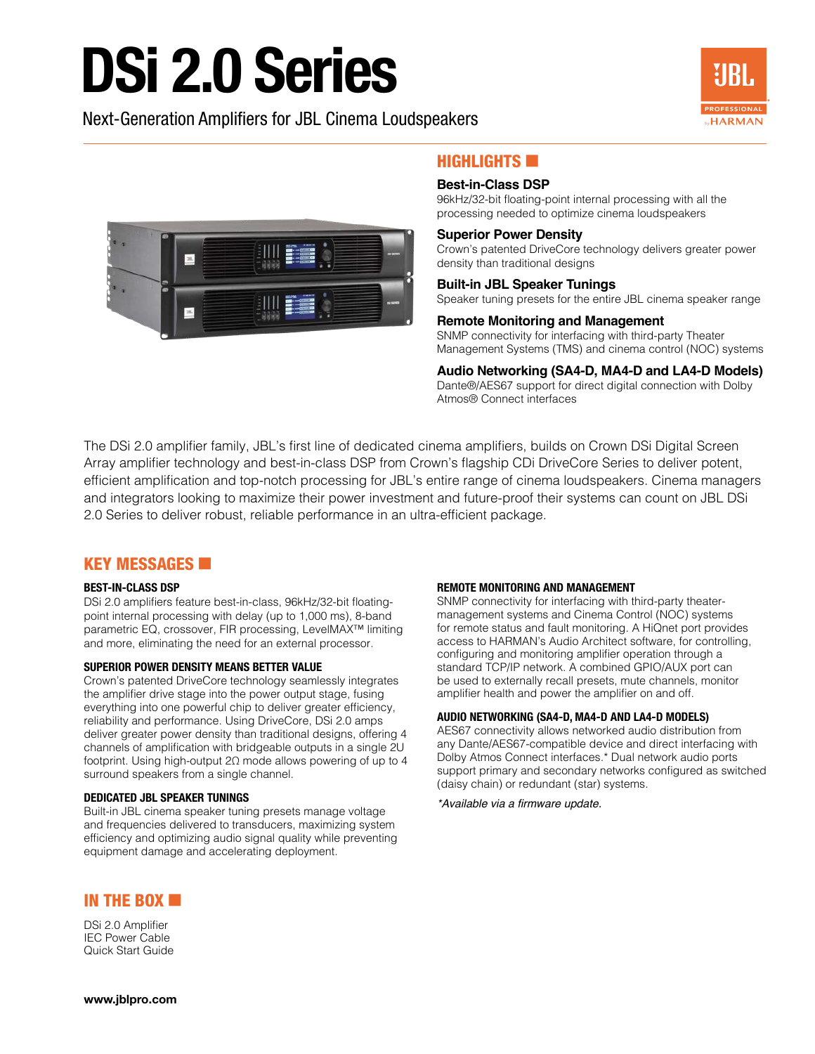# DSi 2.0 Series

Next-Generation Amplifiers for JBL Cinema Loudspeakers





# $H$ IGHLIGHTS  $\blacksquare$

### **Best-in-Class DSP**

96kHz/32-bit floating-point internal processing with all the processing needed to optimize cinema loudspeakers

### **Superior Power Density**

Crown's patented DriveCore technology delivers greater power density than traditional designs

# **Built-in JBL Speaker Tunings**

Speaker tuning presets for the entire JBL cinema speaker range

### **Remote Monitoring and Management**

SNMP connectivity for interfacing with third-party Theater Management Systems (TMS) and cinema control (NOC) systems

**Audio Networking (SA4-D, MA4-D and LA4-D Models)** Dante®/AES67 support for direct digital connection with Dolby Atmos® Connect interfaces

The DSi 2.0 amplifier family, JBL's first line of dedicated cinema amplifiers, builds on Crown DSi Digital Screen Array amplifier technology and best-in-class DSP from Crown's flagship CDi DriveCore Series to deliver potent, efficient amplification and top-notch processing for JBL's entire range of cinema loudspeakers. Cinema managers and integrators looking to maximize their power investment and future-proof their systems can count on JBL DSi 2.0 Series to deliver robust, reliable performance in an ultra-efficient package.

# **KEY MESSAGES <b>EX**

#### **BEST-IN-CLASS DSP**

DSi 2.0 amplifiers feature best-in-class, 96kHz/32-bit floatingpoint internal processing with delay (up to 1,000 ms), 8-band parametric EQ, crossover, FIR processing, LevelMAX™ limiting and more, eliminating the need for an external processor.

#### **SUPERIOR POWER DENSITY MEANS BETTER VALUE**

Crown's patented DriveCore technology seamlessly integrates the amplifier drive stage into the power output stage, fusing everything into one powerful chip to deliver greater efficiency, reliability and performance. Using DriveCore, DSi 2.0 amps deliver greater power density than traditional designs, offering 4 channels of amplification with bridgeable outputs in a single 2U footprint. Using high-output 2Ω mode allows powering of up to 4 surround speakers from a single channel.

#### **DEDICATED JBL SPEAKER TUNINGS**

Built-in JBL cinema speaker tuning presets manage voltage and frequencies delivered to transducers, maximizing system efficiency and optimizing audio signal quality while preventing equipment damage and accelerating deployment.

#### **REMOTE MONITORING AND MANAGEMENT**

SNMP connectivity for interfacing with third-party theatermanagement systems and Cinema Control (NOC) systems for remote status and fault monitoring. A HiQnet port provides access to HARMAN's Audio Architect software, for controlling, configuring and monitoring amplifier operation through a standard TCP/IP network. A combined GPIO/AUX port can be used to externally recall presets, mute channels, monitor amplifier health and power the amplifier on and off.

#### **AUDIO NETWORKING (SA4-D, MA4-D AND LA4-D MODELS)**

AES67 connectivity allows networked audio distribution from any Dante/AES67-compatible device and direct interfacing with Dolby Atmos Connect interfaces.\* Dual network audio ports support primary and secondary networks configured as switched (daisy chain) or redundant (star) systems.

\*Available via a firmware update.

# IN THE BOX  $\blacksquare$

DSi 2.0 Amplifier IEC Power Cable Quick Start Guide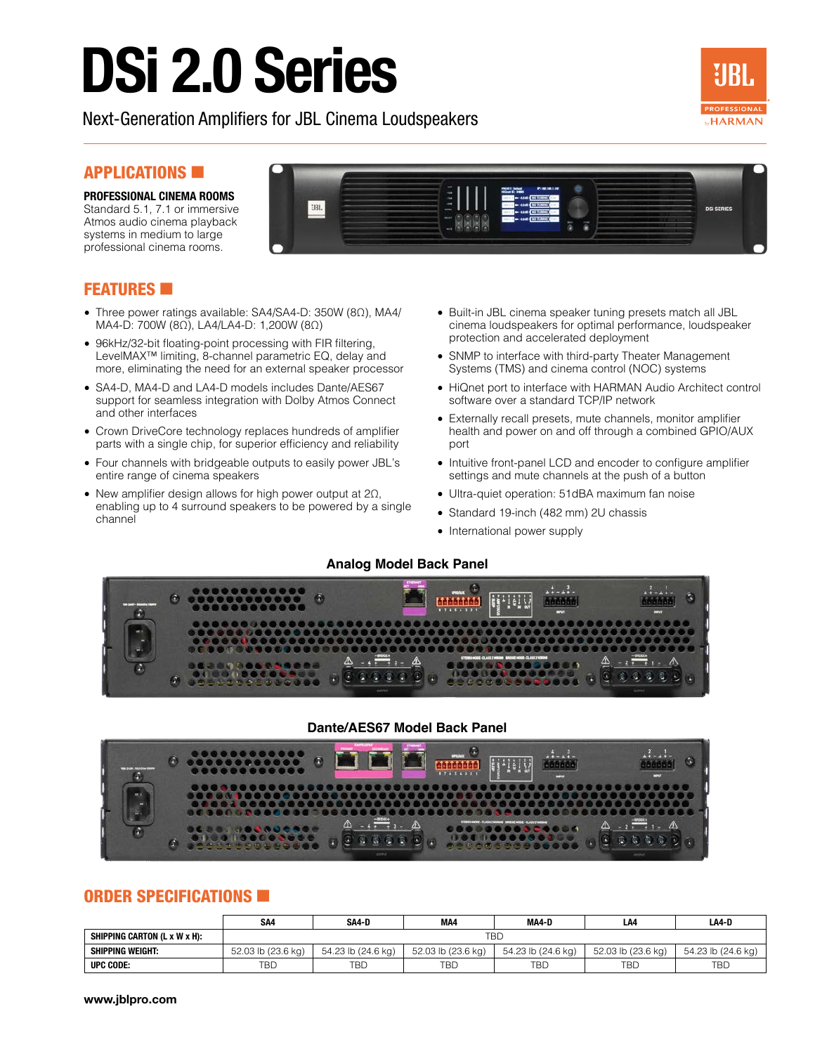# DSi 2.0 Series

Next-Generation Amplifiers for JBL Cinema Loudspeakers



# **APPLICATIONS**

**PROFESSIONAL CINEMA ROOMS** Standard 5.1, 7.1 or immersive Atmos audio cinema playback systems in medium to large professional cinema rooms.

# **JBL DSI SERIES**

# **FEATURES**

- Three power ratings available: SA4/SA4-D: 350W (8Ω), MA4/ MA4-D: 700W (8Ω), LA4/LA4-D: 1,200W (8Ω)
- 96kHz/32-bit floating-point processing with FIR filtering, LevelMAX™ limiting, 8-channel parametric EQ, delay and more, eliminating the need for an external speaker processor
- SA4-D, MA4-D and LA4-D models includes Dante/AES67 support for seamless integration with Dolby Atmos Connect and other interfaces
- Crown DriveCore technology replaces hundreds of amplifier parts with a single chip, for superior efficiency and reliability
- Four channels with bridgeable outputs to easily power JBL's entire range of cinema speakers
- New amplifier design allows for high power output at 2Ω, enabling up to 4 surround speakers to be powered by a single channel
- Built-in JBL cinema speaker tuning presets match all JBL cinema loudspeakers for optimal performance, loudspeaker protection and accelerated deployment
- SNMP to interface with third-party Theater Management Systems (TMS) and cinema control (NOC) systems
- HiQnet port to interface with HARMAN Audio Architect control software over a standard TCP/IP network
- Externally recall presets, mute channels, monitor amplifier health and power on and off through a combined GPIO/AUX port
- Intuitive front-panel LCD and encoder to configure amplifier settings and mute channels at the push of a button
- Ultra-quiet operation: 51dBA maximum fan noise
- Standard 19-inch (482 mm) 2U chassis
- International power supply

### **Analog Model Back Panel**



# **Dante/AES67 Model Back Panel**



# ORDER SPECIFICATIONS

|                              | SA <sub>4</sub>    | SA4-D              | MA4                | MA4-D              | LA4                | LA4-D              |  |  |  |
|------------------------------|--------------------|--------------------|--------------------|--------------------|--------------------|--------------------|--|--|--|
| SHIPPING CARTON (L x W x H): | TBD                |                    |                    |                    |                    |                    |  |  |  |
| <b>SHIPPING WEIGHT:</b>      | 52.03 lb (23.6 kg) | 54.23 lb (24.6 kg) | 52.03 lb (23.6 kg) | 54.23 lb (24.6 kg) | 52.03 lb (23.6 kg) | 54.23 lb (24.6 kg) |  |  |  |
| UPC CODE:                    | TBD                | TBD                | TBD                | <b>TBD</b>         | <b>TBD</b>         | TBD                |  |  |  |